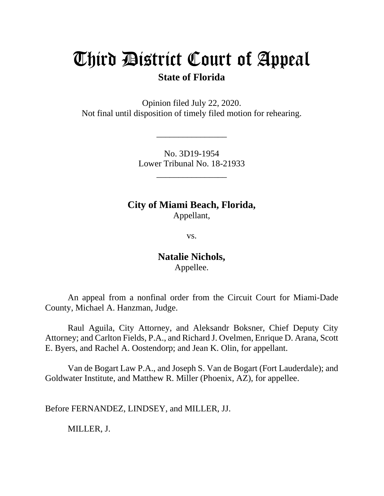# Third District Court of Appeal

## **State of Florida**

Opinion filed July 22, 2020. Not final until disposition of timely filed motion for rehearing.

> No. 3D19-1954 Lower Tribunal No. 18-21933

> > \_\_\_\_\_\_\_\_\_\_\_\_\_\_\_\_

\_\_\_\_\_\_\_\_\_\_\_\_\_\_\_\_

**City of Miami Beach, Florida,** Appellant,

vs.

**Natalie Nichols,** Appellee.

An appeal from a nonfinal order from the Circuit Court for Miami-Dade County, Michael A. Hanzman, Judge.

Raul Aguila, City Attorney, and Aleksandr Boksner, Chief Deputy City Attorney; and Carlton Fields, P.A., and Richard J. Ovelmen, Enrique D. Arana, Scott E. Byers, and Rachel A. Oostendorp; and Jean K. Olin, for appellant.

Van de Bogart Law P.A., and Joseph S. Van de Bogart (Fort Lauderdale); and Goldwater Institute, and Matthew R. Miller (Phoenix, AZ), for appellee.

Before FERNANDEZ, LINDSEY, and MILLER, JJ.

MILLER, J.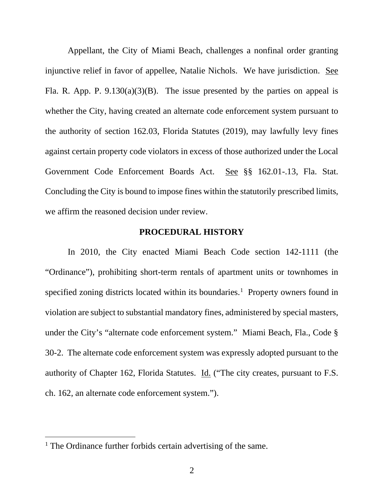Appellant, the City of Miami Beach, challenges a nonfinal order granting injunctive relief in favor of appellee, Natalie Nichols. We have jurisdiction. See Fla. R. App. P.  $9.130(a)(3)(B)$ . The issue presented by the parties on appeal is whether the City, having created an alternate code enforcement system pursuant to the authority of section 162.03, Florida Statutes (2019), may lawfully levy fines against certain property code violators in excess of those authorized under the Local Government Code Enforcement Boards Act. See §§ 162.01-.13, Fla. Stat. Concluding the City is bound to impose fines within the statutorily prescribed limits, we affirm the reasoned decision under review.

### **PROCEDURAL HISTORY**

In 2010, the City enacted Miami Beach Code section 142-1111 (the "Ordinance"), prohibiting short-term rentals of apartment units or townhomes in specified zoning districts located within its boundaries.<sup>[1](#page-1-0)</sup> Property owners found in violation are subject to substantial mandatory fines, administered by special masters, under the City's "alternate code enforcement system." Miami Beach, Fla., Code § 30-2. The alternate code enforcement system was expressly adopted pursuant to the authority of Chapter 162, Florida Statutes. Id. ("The city creates, pursuant to F.S. ch. 162, an alternate code enforcement system.").

<span id="page-1-0"></span><sup>&</sup>lt;sup>1</sup> The Ordinance further forbids certain advertising of the same.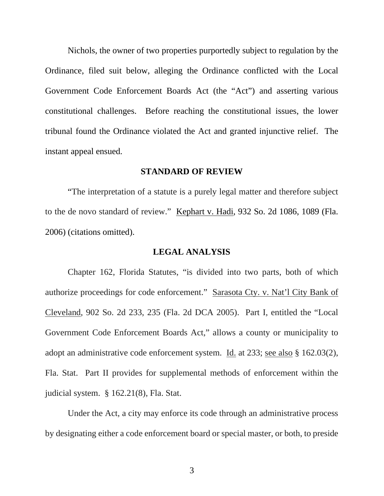Nichols, the owner of two properties purportedly subject to regulation by the Ordinance, filed suit below, alleging the Ordinance conflicted with the Local Government Code Enforcement Boards Act (the "Act") and asserting various constitutional challenges. Before reaching the constitutional issues, the lower tribunal found the Ordinance violated the Act and granted injunctive relief. The instant appeal ensued.

#### **STANDARD OF REVIEW**

"The interpretation of a statute is a purely legal matter and therefore subject to the de novo standard of review." Kephart v. Hadi, 932 So. 2d 1086, 1089 (Fla. 2006) (citations omitted).

#### **LEGAL ANALYSIS**

Chapter 162, Florida Statutes, "is divided into two parts, both of which authorize proceedings for code enforcement." Sarasota Cty. v. Nat'l City Bank of Cleveland, 902 So. 2d 233, 235 (Fla. 2d DCA 2005). Part I, entitled the "Local Government Code Enforcement Boards Act," allows a county or municipality to adopt an administrative code enforcement system. Id. at 233; see also § 162.03(2), Fla. Stat. Part II provides for supplemental methods of enforcement within the judicial system. § 162.21(8), Fla. Stat.

Under the Act, a city may enforce its code through an administrative process by designating either a code enforcement board or special master, or both, to preside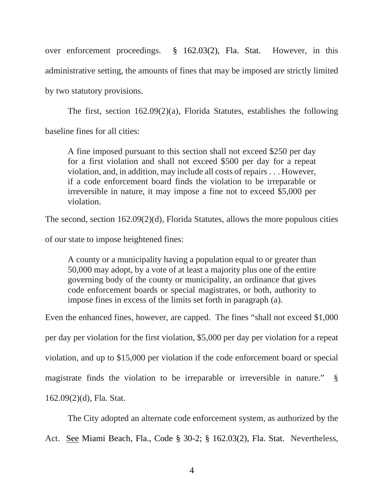over enforcement proceedings. § 162.03(2), Fla. Stat. However, in this administrative setting, the amounts of fines that may be imposed are strictly limited by two statutory provisions.

The first, section 162.09(2)(a), Florida Statutes, establishes the following baseline fines for all cities:

A fine imposed pursuant to this section shall not exceed \$250 per day for a first violation and shall not exceed \$500 per day for a repeat violation, and, in addition, may include all costs of repairs . . . However, if a code enforcement board finds the violation to be irreparable or irreversible in nature, it may impose a fine not to exceed \$5,000 per violation.

The second, section 162.09(2)(d), Florida Statutes, allows the more populous cities

of our state to impose heightened fines:

A county or a municipality having a population equal to or greater than 50,000 may adopt, by a vote of at least a majority plus one of the entire governing body of the county or municipality, an ordinance that gives code enforcement boards or special magistrates, or both, authority to impose fines in excess of the limits set forth in paragraph (a).

Even the enhanced fines, however, are capped. The fines "shall not exceed \$1,000

per day per violation for the first violation, \$5,000 per day per violation for a repeat

violation, and up to \$15,000 per violation if the code enforcement board or special

magistrate finds the violation to be irreparable or irreversible in nature." §

162.09(2)(d), Fla. Stat.

The City adopted an alternate code enforcement system, as authorized by the

Act. See Miami Beach, Fla., Code § 30-2; § 162.03(2), Fla. Stat. Nevertheless,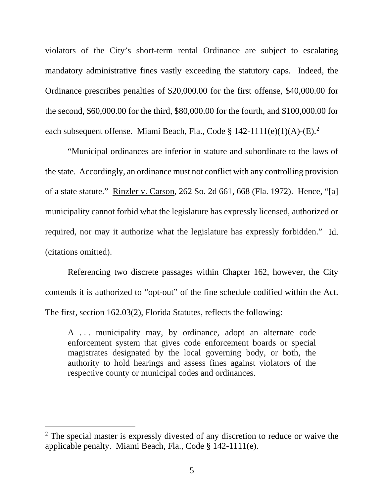violators of the City's short-term rental Ordinance are subject to escalating mandatory administrative fines vastly exceeding the statutory caps. Indeed, the Ordinance prescribes penalties of \$20,000.00 for the first offense, \$40,000.00 for the second, \$60,000.00 for the third, \$80,000.00 for the fourth, and \$100,000.00 for each subsequent offense. Miami Beach, Fla., Code §  $142-1111(e)(1)(A)-(E)^2$  $142-1111(e)(1)(A)-(E)^2$  $142-1111(e)(1)(A)-(E)^2$ .

"Municipal ordinances are inferior in stature and subordinate to the laws of the state. Accordingly, an ordinance must not conflict with any controlling provision of a state statute." Rinzler v. Carson, 262 So. 2d 661, 668 (Fla. 1972). Hence, "[a] municipality cannot forbid what the legislature has expressly licensed, authorized or required, nor may it authorize what the legislature has expressly forbidden." Id. (citations omitted).

Referencing two discrete passages within Chapter 162, however, the City contends it is authorized to "opt-out" of the fine schedule codified within the Act. The first, section 162.03(2), Florida Statutes, reflects the following:

A ... municipality may, by ordinance, adopt an alternate code enforcement system that gives code enforcement boards or special magistrates designated by the local governing body, or both, the authority to hold hearings and assess fines against violators of the respective county or municipal codes and ordinances.

<span id="page-4-0"></span><sup>&</sup>lt;sup>2</sup> The special master is expressly divested of any discretion to reduce or waive the applicable penalty. Miami Beach, Fla., Code § 142-1111(e).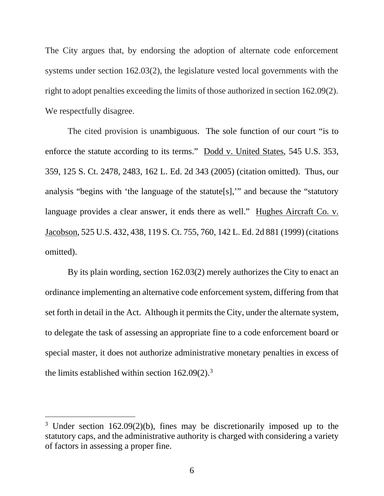The City argues that, by endorsing the adoption of alternate code enforcement systems under section 162.03(2), the legislature vested local governments with the right to adopt penalties exceeding the limits of those authorized in section 162.09(2). We respectfully disagree.

The cited provision is unambiguous. The sole function of our court "is to enforce the statute according to its terms." Dodd v. United States, 545 U.S. 353, 359, 125 S. Ct. 2478, 2483, 162 L. Ed. 2d 343 (2005) (citation omitted). Thus, our analysis "begins with 'the language of the statute[s],'" and because the "statutory language provides a clear answer, it ends there as well." Hughes Aircraft Co. v. Jacobson, 525 U.S. 432, 438, 119 S. Ct. 755, 760, 142 L. Ed. 2d 881 (1999) (citations omitted).

By its plain wording, section 162.03(2) merely authorizes the City to enact an ordinance implementing an alternative code enforcement system, differing from that set forth in detail in the Act. Although it permits the City, under the alternate system, to delegate the task of assessing an appropriate fine to a code enforcement board or special master, it does not authorize administrative monetary penalties in excess of the limits established within section  $162.09(2)$ .<sup>[3](#page-5-0)</sup>

<span id="page-5-0"></span><sup>&</sup>lt;sup>3</sup> Under section 162.09(2)(b), fines may be discretionarily imposed up to the statutory caps, and the administrative authority is charged with considering a variety of factors in assessing a proper fine.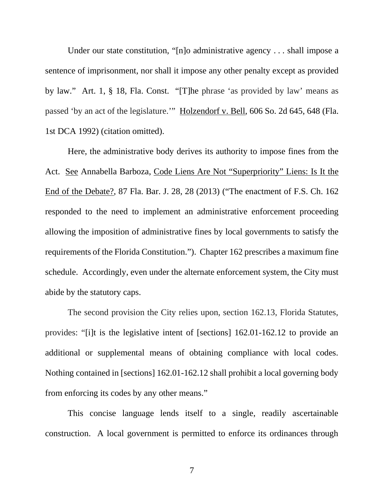Under our state constitution, "[n]o administrative agency . . . shall impose a sentence of imprisonment, nor shall it impose any other penalty except as provided by law." Art. 1, § 18, Fla. Const. "[T]he phrase 'as provided by law' means as passed 'by an act of the legislature.'" Holzendorf v. Bell, 606 So. 2d 645, 648 (Fla. 1st DCA 1992) (citation omitted).

Here, the administrative body derives its authority to impose fines from the Act. See Annabella Barboza, Code Liens Are Not "Superpriority" Liens: Is It the End of the Debate?, 87 Fla. Bar. J. 28, 28 (2013) ("The enactment of F.S. Ch. 162 responded to the need to implement an administrative enforcement proceeding allowing the imposition of administrative fines by local governments to satisfy the requirements of the Florida Constitution."). Chapter 162 prescribes a maximum fine schedule. Accordingly, even under the alternate enforcement system, the City must abide by the statutory caps.

The second provision the City relies upon, section 162.13, Florida Statutes, provides: "[i]t is the legislative intent of [sections] 162.01-162.12 to provide an additional or supplemental means of obtaining compliance with local codes. Nothing contained in [sections] 162.01-162.12 shall prohibit a local governing body from enforcing its codes by any other means."

This concise language lends itself to a single, readily ascertainable construction. A local government is permitted to enforce its ordinances through

7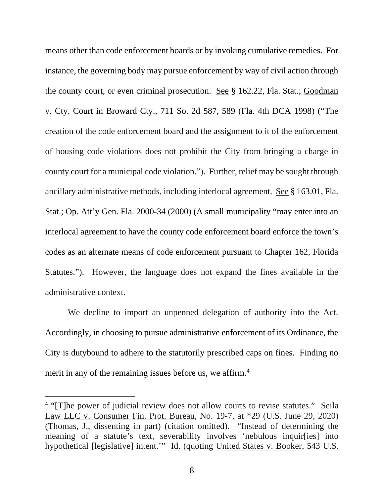means other than code enforcement boards or by invoking cumulative remedies. For instance, the governing body may pursue enforcement by way of civil action through the county court, or even criminal prosecution. See § 162.22, Fla. Stat.; Goodman v. Cty. Court in Broward Cty., 711 So. 2d 587, 589 (Fla. 4th DCA 1998) ("The creation of the code enforcement board and the assignment to it of the enforcement of housing code violations does not prohibit the City from bringing a charge in county court for a municipal code violation."). Further, relief may be sought through ancillary administrative methods, including interlocal agreement. See § 163.01, Fla. Stat.; Op. Att'y Gen. Fla. 2000-34 (2000) (A small municipality "may enter into an interlocal agreement to have the county code enforcement board enforce the town's codes as an alternate means of code enforcement pursuant to Chapter 162, Florida Statutes."). However, the language does not expand the fines available in the administrative context.

We decline to import an unpenned delegation of authority into the Act. Accordingly, in choosing to pursue administrative enforcement of its Ordinance, the City is dutybound to adhere to the statutorily prescribed caps on fines. Finding no merit in any of the remaining issues before us, we affirm.<sup>[4](#page-7-0)</sup>

<span id="page-7-0"></span><sup>&</sup>lt;sup>4</sup> "[T]he power of judicial review does not allow courts to revise statutes." Seila Law LLC v. Consumer Fin. Prot. Bureau, No. 19-7, at \*29 (U.S. June 29, 2020) (Thomas, J., dissenting in part) (citation omitted). "Instead of determining the meaning of a statute's text, severability involves 'nebulous inquir[ies] into hypothetical [legislative] intent." Id. (quoting United States v. Booker, 543 U.S.